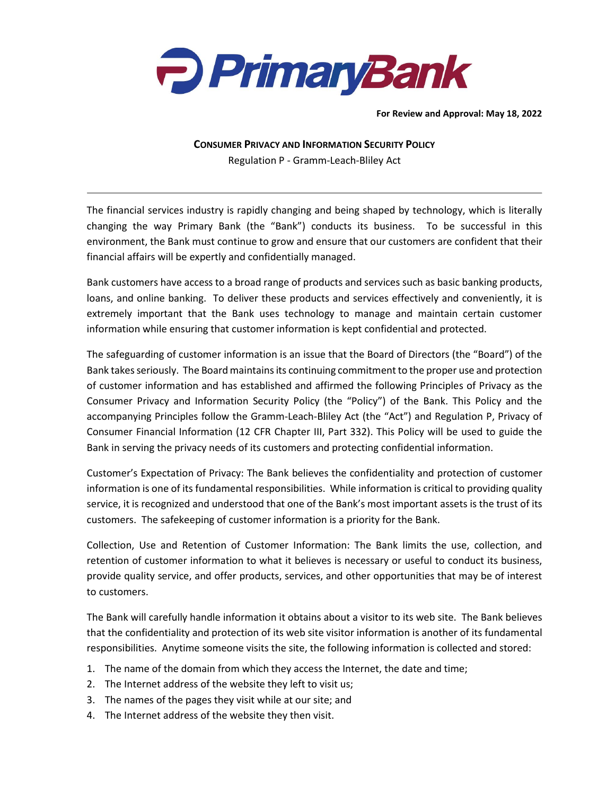

**For Review and Approval: May 18, 2022**

**CONSUMER PRIVACY AND INFORMATION SECURITY POLICY** Regulation P - Gramm-Leach-Bliley Act

The financial services industry is rapidly changing and being shaped by technology, which is literally changing the way Primary Bank (the "Bank") conducts its business. To be successful in this environment, the Bank must continue to grow and ensure that our customers are confident that their financial affairs will be expertly and confidentially managed.

Bank customers have access to a broad range of products and services such as basic banking products, loans, and online banking. To deliver these products and services effectively and conveniently, it is extremely important that the Bank uses technology to manage and maintain certain customer information while ensuring that customer information is kept confidential and protected.

The safeguarding of customer information is an issue that the Board of Directors (the "Board") of the Bank takes seriously. The Board maintains its continuing commitment to the proper use and protection of customer information and has established and affirmed the following Principles of Privacy as the Consumer Privacy and Information Security Policy (the "Policy") of the Bank. This Policy and the accompanying Principles follow the Gramm-Leach-Bliley Act (the "Act") and Regulation P, Privacy of Consumer Financial Information (12 CFR Chapter III, Part 332). This Policy will be used to guide the Bank in serving the privacy needs of its customers and protecting confidential information.

Customer's Expectation of Privacy: The Bank believes the confidentiality and protection of customer information is one of its fundamental responsibilities. While information is critical to providing quality service, it is recognized and understood that one of the Bank's most important assets is the trust of its customers. The safekeeping of customer information is a priority for the Bank.

Collection, Use and Retention of Customer Information: The Bank limits the use, collection, and retention of customer information to what it believes is necessary or useful to conduct its business, provide quality service, and offer products, services, and other opportunities that may be of interest to customers.

The Bank will carefully handle information it obtains about a visitor to its web site. The Bank believes that the confidentiality and protection of its web site visitor information is another of its fundamental responsibilities. Anytime someone visits the site, the following information is collected and stored:

- 1. The name of the domain from which they access the Internet, the date and time;
- 2. The Internet address of the website they left to visit us;
- 3. The names of the pages they visit while at our site; and
- 4. The Internet address of the website they then visit.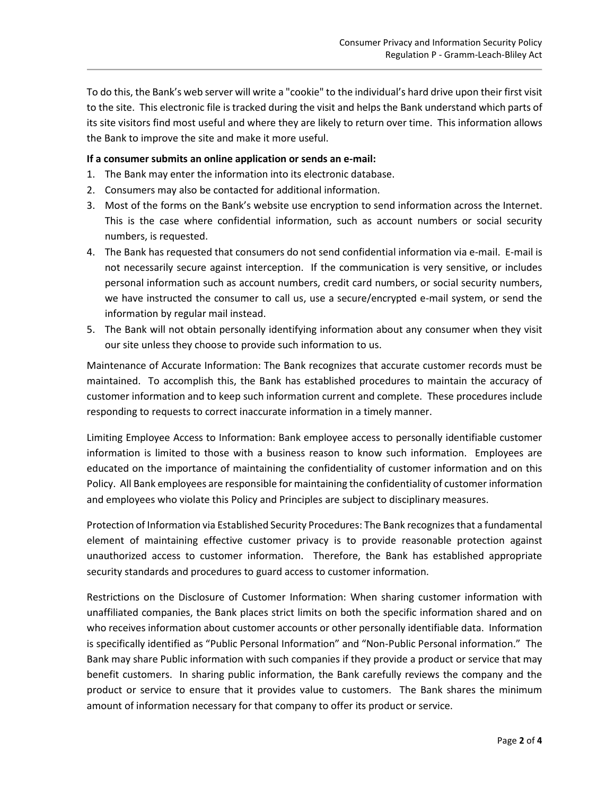To do this, the Bank's web server will write a "cookie" to the individual's hard drive upon their first visit to the site. This electronic file is tracked during the visit and helps the Bank understand which parts of its site visitors find most useful and where they are likely to return over time. This information allows the Bank to improve the site and make it more useful.

## **If a consumer submits an online application or sends an e-mail:**

- 1. The Bank may enter the information into its electronic database.
- 2. Consumers may also be contacted for additional information.
- 3. Most of the forms on the Bank's website use encryption to send information across the Internet. This is the case where confidential information, such as account numbers or social security numbers, is requested.
- 4. The Bank has requested that consumers do not send confidential information via e-mail. E-mail is not necessarily secure against interception. If the communication is very sensitive, or includes personal information such as account numbers, credit card numbers, or social security numbers, we have instructed the consumer to call us, use a secure/encrypted e-mail system, or send the information by regular mail instead.
- 5. The Bank will not obtain personally identifying information about any consumer when they visit our site unless they choose to provide such information to us.

Maintenance of Accurate Information: The Bank recognizes that accurate customer records must be maintained. To accomplish this, the Bank has established procedures to maintain the accuracy of customer information and to keep such information current and complete. These procedures include responding to requests to correct inaccurate information in a timely manner.

Limiting Employee Access to Information: Bank employee access to personally identifiable customer information is limited to those with a business reason to know such information. Employees are educated on the importance of maintaining the confidentiality of customer information and on this Policy. All Bank employees are responsible for maintaining the confidentiality of customer information and employees who violate this Policy and Principles are subject to disciplinary measures.

Protection of Information via Established Security Procedures: The Bank recognizes that a fundamental element of maintaining effective customer privacy is to provide reasonable protection against unauthorized access to customer information. Therefore, the Bank has established appropriate security standards and procedures to guard access to customer information.

Restrictions on the Disclosure of Customer Information: When sharing customer information with unaffiliated companies, the Bank places strict limits on both the specific information shared and on who receives information about customer accounts or other personally identifiable data. Information is specifically identified as "Public Personal Information" and "Non-Public Personal information." The Bank may share Public information with such companies if they provide a product or service that may benefit customers. In sharing public information, the Bank carefully reviews the company and the product or service to ensure that it provides value to customers. The Bank shares the minimum amount of information necessary for that company to offer its product or service.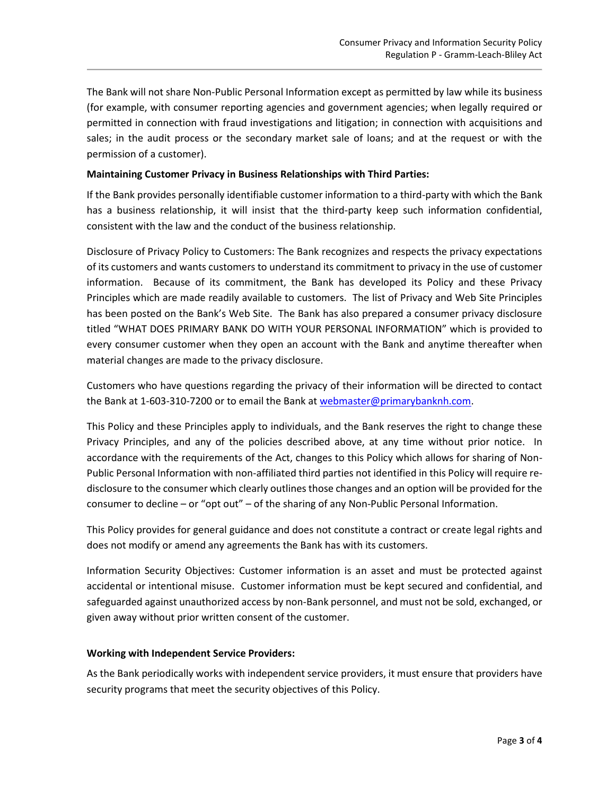The Bank will not share Non-Public Personal Information except as permitted by law while its business (for example, with consumer reporting agencies and government agencies; when legally required or permitted in connection with fraud investigations and litigation; in connection with acquisitions and sales; in the audit process or the secondary market sale of loans; and at the request or with the permission of a customer).

## **Maintaining Customer Privacy in Business Relationships with Third Parties:**

If the Bank provides personally identifiable customer information to a third-party with which the Bank has a business relationship, it will insist that the third-party keep such information confidential, consistent with the law and the conduct of the business relationship.

Disclosure of Privacy Policy to Customers: The Bank recognizes and respects the privacy expectations of its customers and wants customers to understand its commitment to privacy in the use of customer information. Because of its commitment, the Bank has developed its Policy and these Privacy Principles which are made readily available to customers. The list of Privacy and Web Site Principles has been posted on the Bank's Web Site. The Bank has also prepared a consumer privacy disclosure titled "WHAT DOES PRIMARY BANK DO WITH YOUR PERSONAL INFORMATION" which is provided to every consumer customer when they open an account with the Bank and anytime thereafter when material changes are made to the privacy disclosure.

Customers who have questions regarding the privacy of their information will be directed to contact the Bank at 1-603-310-7200 or to email the Bank at [webmaster@primarybanknh.com.](mailto:bank@primarybank.com)

This Policy and these Principles apply to individuals, and the Bank reserves the right to change these Privacy Principles, and any of the policies described above, at any time without prior notice. In accordance with the requirements of the Act, changes to this Policy which allows for sharing of Non-Public Personal Information with non-affiliated third parties not identified in this Policy will require redisclosure to the consumer which clearly outlines those changes and an option will be provided for the consumer to decline – or "opt out" – of the sharing of any Non-Public Personal Information.

This Policy provides for general guidance and does not constitute a contract or create legal rights and does not modify or amend any agreements the Bank has with its customers.

Information Security Objectives: Customer information is an asset and must be protected against accidental or intentional misuse. Customer information must be kept secured and confidential, and safeguarded against unauthorized access by non-Bank personnel, and must not be sold, exchanged, or given away without prior written consent of the customer.

## **Working with Independent Service Providers:**

As the Bank periodically works with independent service providers, it must ensure that providers have security programs that meet the security objectives of this Policy.